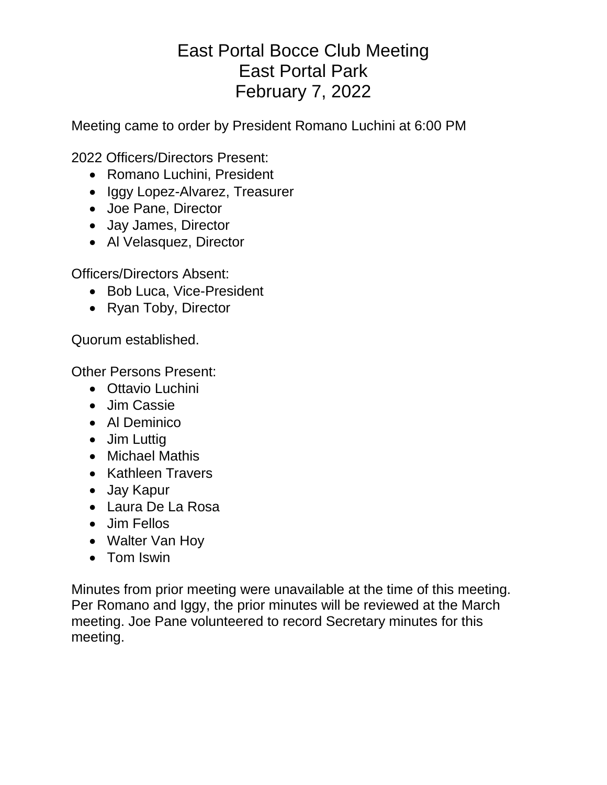# East Portal Bocce Club Meeting East Portal Park February 7, 2022

Meeting came to order by President Romano Luchini at 6:00 PM

2022 Officers/Directors Present:

- Romano Luchini, President
- Iggy Lopez-Alvarez, Treasurer
- Joe Pane, Director
- Jay James, Director
- Al Velasquez, Director

Officers/Directors Absent:

- Bob Luca, Vice-President
- Ryan Toby, Director

Quorum established.

Other Persons Present:

- Ottavio Luchini
- Jim Cassie
- Al Deminico
- Jim Luttig
- Michael Mathis
- Kathleen Travers
- Jay Kapur
- Laura De La Rosa
- Jim Fellos
- Walter Van Hoy
- Tom Iswin

Minutes from prior meeting were unavailable at the time of this meeting. Per Romano and Iggy, the prior minutes will be reviewed at the March meeting. Joe Pane volunteered to record Secretary minutes for this meeting.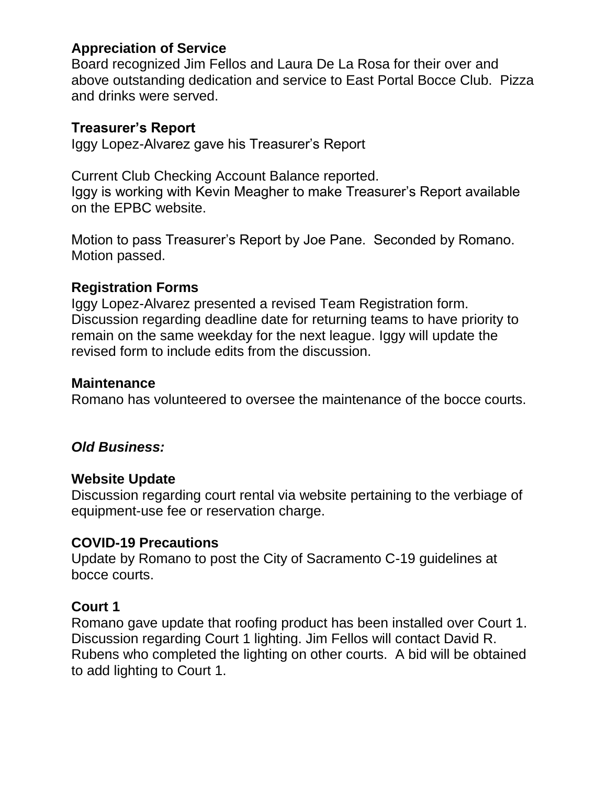## **Appreciation of Service**

Board recognized Jim Fellos and Laura De La Rosa for their over and above outstanding dedication and service to East Portal Bocce Club. Pizza and drinks were served.

#### **Treasurer's Report**

Iggy Lopez-Alvarez gave his Treasurer's Report

Current Club Checking Account Balance reported. Iggy is working with Kevin Meagher to make Treasurer's Report available on the EPBC website.

Motion to pass Treasurer's Report by Joe Pane. Seconded by Romano. Motion passed.

## **Registration Forms**

Iggy Lopez-Alvarez presented a revised Team Registration form. Discussion regarding deadline date for returning teams to have priority to remain on the same weekday for the next league. Iggy will update the revised form to include edits from the discussion.

#### **Maintenance**

Romano has volunteered to oversee the maintenance of the bocce courts.

#### *Old Business:*

#### **Website Update**

Discussion regarding court rental via website pertaining to the verbiage of equipment-use fee or reservation charge.

#### **COVID-19 Precautions**

Update by Romano to post the City of Sacramento C-19 guidelines at bocce courts.

#### **Court 1**

Romano gave update that roofing product has been installed over Court 1. Discussion regarding Court 1 lighting. Jim Fellos will contact David R. Rubens who completed the lighting on other courts. A bid will be obtained to add lighting to Court 1.